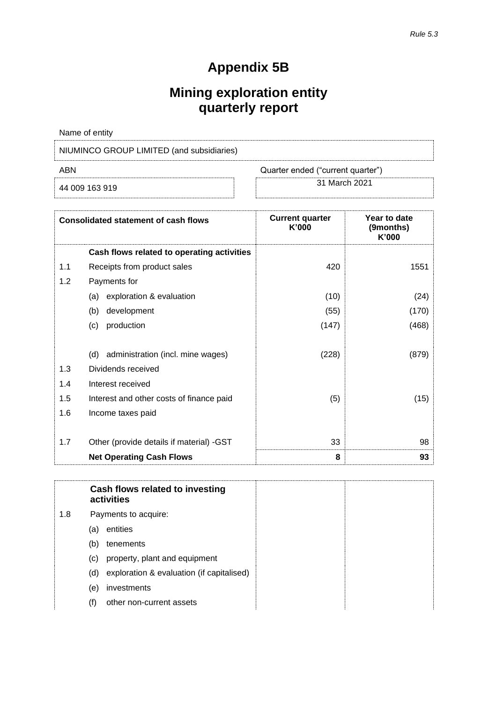# **Appendix 5B**

# **Mining exploration entity quarterly report**

| Name of entity                            |                                   |
|-------------------------------------------|-----------------------------------|
| NIUMINCO GROUP LIMITED (and subsidiaries) |                                   |
| ABN                                       | Quarter ended ("current quarter") |
|                                           | - - - - - - - - -                 |

44 009 163 919 31 March <sup>2021</sup>

|     | <b>Consolidated statement of cash flows</b> | <b>Current quarter</b><br>K'000 | Year to date<br>(9months)<br>K'000 |
|-----|---------------------------------------------|---------------------------------|------------------------------------|
|     | Cash flows related to operating activities  |                                 |                                    |
| 1.1 | Receipts from product sales                 | 420                             | 1551                               |
| 1.2 | Payments for                                |                                 |                                    |
|     | exploration & evaluation<br>(a)             | (10)                            | (24)                               |
|     | development<br>(b)                          | (55)                            | (170)                              |
|     | production<br>(c)                           | (147)                           | (468)                              |
|     |                                             |                                 |                                    |
|     | (d) administration (incl. mine wages)       | (228)                           | (879)                              |
| 1.3 | Dividends received                          |                                 |                                    |
| 1.4 | Interest received                           |                                 |                                    |
| 1.5 | Interest and other costs of finance paid    | (5)                             | (15)                               |
| 1.6 | Income taxes paid                           |                                 |                                    |
|     |                                             |                                 |                                    |
| 1.7 | Other (provide details if material) -GST    | 33                              | 98                                 |
|     | <b>Net Operating Cash Flows</b>             | 8                               | 93                                 |

**Cash flows related to investing activities** 1.8 Payments to acquire: (a) entities (b) tenements (c) property, plant and equipment (d) exploration & evaluation (if capitalised) (e) investments (f) other non-current assets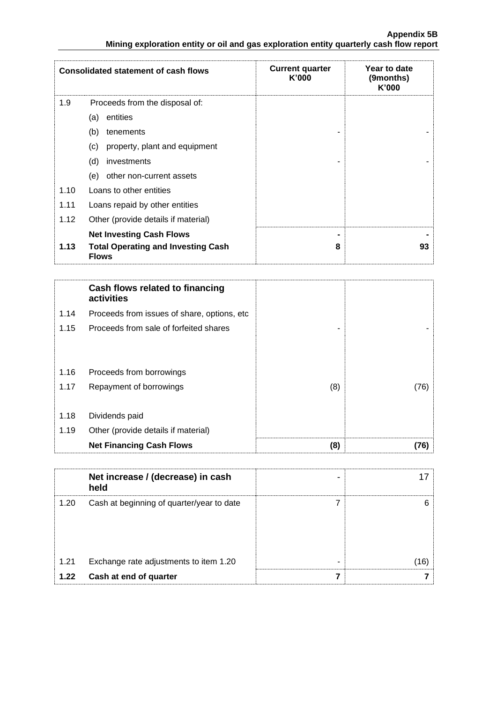|      | <b>Consolidated statement of cash flows</b>                                                  | <b>Current quarter</b><br>K'000 | Year to date<br>(9months)<br>K'000 |
|------|----------------------------------------------------------------------------------------------|---------------------------------|------------------------------------|
| 1.9  | Proceeds from the disposal of:                                                               |                                 |                                    |
|      | entities<br>(a)                                                                              |                                 |                                    |
|      | (b)<br>tenements                                                                             |                                 |                                    |
|      | property, plant and equipment<br>(c)                                                         |                                 |                                    |
|      | (d)<br>investments                                                                           |                                 |                                    |
|      | (e)<br>other non-current assets                                                              |                                 |                                    |
| 1.10 | Loans to other entities                                                                      |                                 |                                    |
| 1.11 | Loans repaid by other entities                                                               |                                 |                                    |
| 1.12 | Other (provide details if material)                                                          |                                 |                                    |
| 1.13 | <b>Net Investing Cash Flows</b><br><b>Total Operating and Investing Cash</b><br><b>Flows</b> | 8                               | 93                                 |

|      | Cash flows related to financing<br>activities |     |      |
|------|-----------------------------------------------|-----|------|
| 1.14 | Proceeds from issues of share, options, etc.  |     |      |
| 1.15 | Proceeds from sale of forfeited shares        | -   |      |
|      |                                               |     |      |
| 1.16 | Proceeds from borrowings                      |     |      |
| 1.17 | Repayment of borrowings                       | (8) | (76) |
|      |                                               |     |      |
| 1.18 | Dividends paid                                |     |      |
| 1.19 | Other (provide details if material)           |     |      |
|      | <b>Net Financing Cash Flows</b>               | (8) | [76] |

|      | Net increase / (decrease) in cash<br>held | - |   |
|------|-------------------------------------------|---|---|
| 1.20 | Cash at beginning of quarter/year to date |   | ĥ |
| 1.21 | Exchange rate adjustments to item 1.20    | - |   |
| 1.22 | Cash at end of quarter                    |   |   |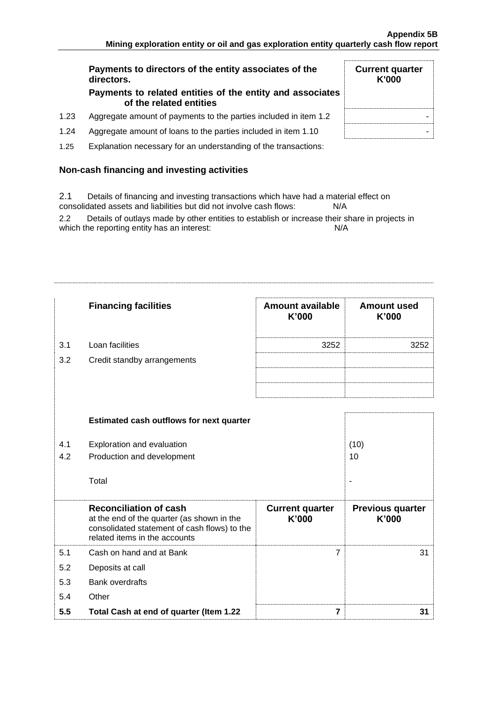**Current quarter K'000**

# **Payments to directors of the entity associates of the directors.**

#### **Payments to related entities of the entity and associates of the related entities**

- 1.23 Aggregate amount of payments to the parties included in item 1.2  $\parallel$
- 1.24 Aggregate amount of loans to the parties included in item 1.10  $\blacksquare$
- 1.25 Explanation necessary for an understanding of the transactions:

# **Non-cash financing and investing activities**

2.1 Details of financing and investing transactions which have had a material effect on consolidated assets and liabilities but did not involve cash flows: N/A

2.2 Details of outlays made by other entities to establish or increase their share in projects in which the reporting entity has an interest: N/A

|     | <b>Financing facilities</b>                                                                                                                                  | <b>Amount available</b><br>K'000 | <b>Amount used</b><br>K'000      |
|-----|--------------------------------------------------------------------------------------------------------------------------------------------------------------|----------------------------------|----------------------------------|
| 3.1 | Loan facilities                                                                                                                                              | 3252                             | 3252                             |
| 3.2 | Credit standby arrangements                                                                                                                                  |                                  |                                  |
|     |                                                                                                                                                              |                                  |                                  |
|     |                                                                                                                                                              |                                  |                                  |
|     | <b>Estimated cash outflows for next quarter</b>                                                                                                              |                                  |                                  |
|     |                                                                                                                                                              |                                  |                                  |
| 4.1 | Exploration and evaluation                                                                                                                                   |                                  | (10)                             |
| 4.2 | Production and development                                                                                                                                   |                                  | 10                               |
|     | Total                                                                                                                                                        |                                  |                                  |
|     |                                                                                                                                                              |                                  |                                  |
|     | <b>Reconciliation of cash</b><br>at the end of the quarter (as shown in the<br>consolidated statement of cash flows) to the<br>related items in the accounts | <b>Current quarter</b><br>K'000  | <b>Previous quarter</b><br>K'000 |
| 5.1 | Cash on hand and at Bank                                                                                                                                     | $\overline{7}$                   | 31                               |
| 5.2 | Deposits at call                                                                                                                                             |                                  |                                  |
| 5.3 | <b>Bank overdrafts</b>                                                                                                                                       |                                  |                                  |
| 5.4 | Other                                                                                                                                                        |                                  |                                  |
| 5.5 | Total Cash at end of quarter (Item 1.22                                                                                                                      | $\overline{\mathbf{z}}$          | 31                               |